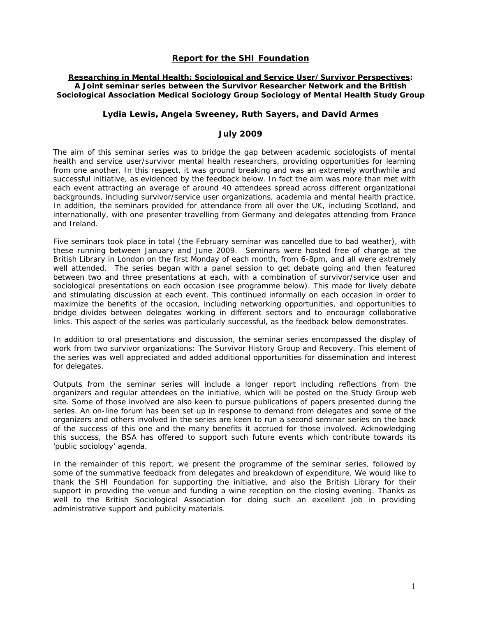## **Report for the SHI Foundation**

### **Researching in Mental Health: Sociological and Service User/Survivor Perspectives: A Joint seminar series between the Survivor Researcher Network and the British Sociological Association Medical Sociology Group Sociology of Mental Health Study Group**

### **Lydia Lewis, Angela Sweeney, Ruth Sayers, and David Armes**

## **July 2009**

The aim of this seminar series was to bridge the gap between academic sociologists of mental health and service user/survivor mental health researchers, providing opportunities for learning from one another. In this respect, it was ground breaking and was an extremely worthwhile and successful initiative, as evidenced by the feedback below. In fact the aim was more than met with each event attracting an average of around 40 attendees spread across different organizational backgrounds, including survivor/service user organizations, academia and mental health practice. In addition, the seminars provided for attendance from all over the UK, including Scotland, and internationally, with one presenter travelling from Germany and delegates attending from France and Ireland.

Five seminars took place in total (the February seminar was cancelled due to bad weather), with these running between January and June 2009. Seminars were hosted free of charge at the British Library in London on the first Monday of each month, from 6-8pm, and all were extremely well attended. The series began with a panel session to get debate going and then featured between two and three presentations at each, with a combination of survivor/service user and sociological presentations on each occasion (see programme below). This made for lively debate and stimulating discussion at each event. This continued informally on each occasion in order to maximize the benefits of the occasion, including networking opportunities, and opportunities to bridge divides between delegates working in different sectors and to encourage collaborative links. This aspect of the series was particularly successful, as the feedback below demonstrates.

In addition to oral presentations and discussion, the seminar series encompassed the display of work from two survivor organizations: The Survivor History Group and *Recovery.* This element of the series was well appreciated and added additional opportunities for dissemination and interest for delegates.

Outputs from the seminar series will include a longer report including reflections from the organizers and regular attendees on the initiative, which will be posted on the Study Group web site. Some of those involved are also keen to pursue publications of papers presented during the series. An on-line forum has been set up in response to demand from delegates and some of the organizers and others involved in the series are keen to run a second seminar series on the back of the success of this one and the many benefits it accrued for those involved. Acknowledging this success, the BSA has offered to support such future events which contribute towards its 'public sociology' agenda.

In the remainder of this report, we present the programme of the seminar series, followed by some of the summative feedback from delegates and breakdown of expenditure. We would like to thank the SHI Foundation for supporting the initiative, and also the British Library for their support in providing the venue and funding a wine reception on the closing evening. Thanks as well to the British Sociological Association for doing such an excellent job in providing administrative support and publicity materials.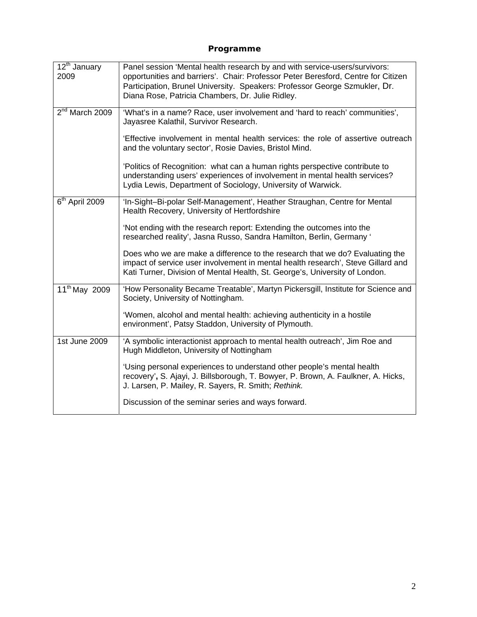# **Programme**

| $\overline{12^{th}}$ January<br>2009 | Panel session 'Mental health research by and with service-users/survivors:<br>opportunities and barriers'. Chair: Professor Peter Beresford, Centre for Citizen<br>Participation, Brunel University. Speakers: Professor George Szmukler, Dr.<br>Diana Rose, Patricia Chambers, Dr. Julie Ridley. |
|--------------------------------------|---------------------------------------------------------------------------------------------------------------------------------------------------------------------------------------------------------------------------------------------------------------------------------------------------|
| $2nd$ March 2009                     | 'What's in a name? Race, user involvement and 'hard to reach' communities',<br>Jayasree Kalathil, Survivor Research.                                                                                                                                                                              |
|                                      | 'Effective involvement in mental health services: the role of assertive outreach<br>and the voluntary sector', Rosie Davies, Bristol Mind.                                                                                                                                                        |
|                                      | 'Politics of Recognition: what can a human rights perspective contribute to<br>understanding users' experiences of involvement in mental health services?<br>Lydia Lewis, Department of Sociology, University of Warwick.                                                                         |
| $6th$ April 2009                     | 'In-Sight-Bi-polar Self-Management', Heather Straughan, Centre for Mental<br>Health Recovery, University of Hertfordshire                                                                                                                                                                         |
|                                      | 'Not ending with the research report: Extending the outcomes into the<br>researched reality', Jasna Russo, Sandra Hamilton, Berlin, Germany '                                                                                                                                                     |
|                                      | Does who we are make a difference to the research that we do? Evaluating the<br>impact of service user involvement in mental health research', Steve Gillard and<br>Kati Turner, Division of Mental Health, St. George's, University of London.                                                   |
| 11 <sup>th</sup> May 2009            | 'How Personality Became Treatable', Martyn Pickersgill, Institute for Science and<br>Society, University of Nottingham.                                                                                                                                                                           |
|                                      | 'Women, alcohol and mental health: achieving authenticity in a hostile<br>environment', Patsy Staddon, University of Plymouth.                                                                                                                                                                    |
| 1st June 2009                        | 'A symbolic interactionist approach to mental health outreach', Jim Roe and<br>Hugh Middleton, University of Nottingham                                                                                                                                                                           |
|                                      | 'Using personal experiences to understand other people's mental health<br>recovery', S. Ajayi, J. Billsborough, T. Bowyer, P. Brown, A. Faulkner, A. Hicks,<br>J. Larsen, P. Mailey, R. Sayers, R. Smith; Rethink.                                                                                |
|                                      | Discussion of the seminar series and ways forward.                                                                                                                                                                                                                                                |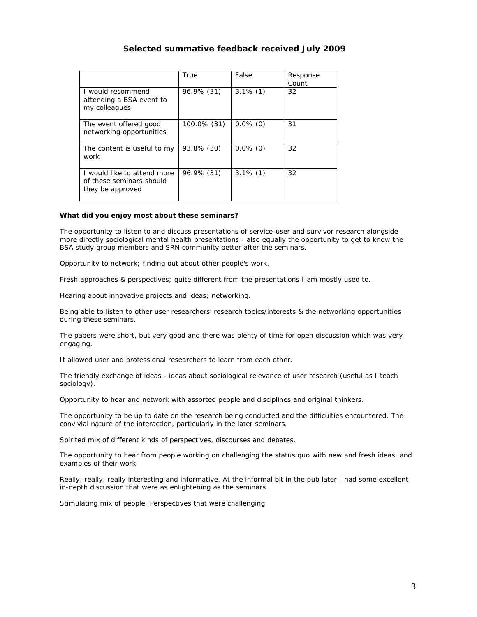# **Selected summative feedback received July 2009**

|                                                                             | True        | False       | Response<br>Count |
|-----------------------------------------------------------------------------|-------------|-------------|-------------------|
| I would recommend<br>attending a BSA event to<br>my colleagues              | 96.9% (31)  | $3.1\%$ (1) | 32                |
| The event offered good<br>networking opportunities                          | 100.0% (31) | $0.0\%$ (0) | 31                |
| The content is useful to my<br>work                                         | 93.8% (30)  | $0.0\%$ (0) | 32                |
| I would like to attend more<br>of these seminars should<br>they be approved | 96.9% (31)  | $3.1\%$ (1) | 32                |

#### **What did you enjoy most about these seminars?**

The opportunity to listen to and discuss presentations of service-user and survivor research alongside more directly sociological mental health presentations - also equally the opportunity to get to know the BSA study group members and SRN community better after the seminars.

Opportunity to network; finding out about other people's work.

Fresh approaches & perspectives; quite different from the presentations I am mostly used to.

Hearing about innovative projects and ideas; networking.

Being able to listen to other user researchers' research topics/interests & the networking opportunities during these seminars.

The papers were short, but very good and there was plenty of time for open discussion which was very engaging.

It allowed user and professional researchers to learn from each other.

The friendly exchange of ideas - ideas about sociological relevance of user research (useful as I teach sociology).

Opportunity to hear and network with assorted people and disciplines and original thinkers.

The opportunity to be up to date on the research being conducted and the difficulties encountered. The convivial nature of the interaction, particularly in the later seminars.

Spirited mix of different kinds of perspectives, discourses and debates.

The opportunity to hear from people working on challenging the status quo with new and fresh ideas, and examples of their work.

Really, really, really interesting and informative. At the informal bit in the pub later I had some excellent in-depth discussion that were as enlightening as the seminars.

Stimulating mix of people. Perspectives that were challenging.